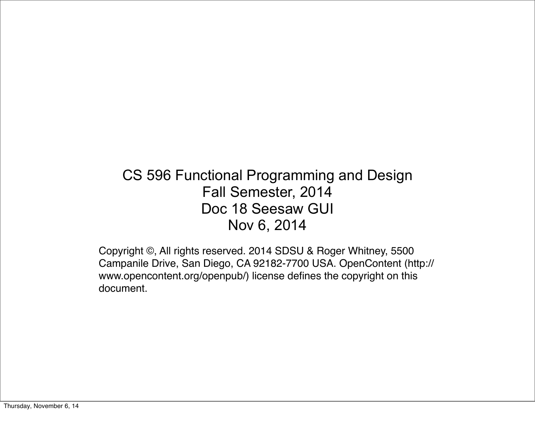#### CS 596 Functional Programming and Design Fall Semester, 2014 Doc 18 Seesaw GUI Nov 6, 2014

Copyright ©, All rights reserved. 2014 SDSU & Roger Whitney, 5500 Campanile Drive, San Diego, CA 92182-7700 USA. OpenContent (http:// www.opencontent.org/openpub/) license defines the copyright on this document.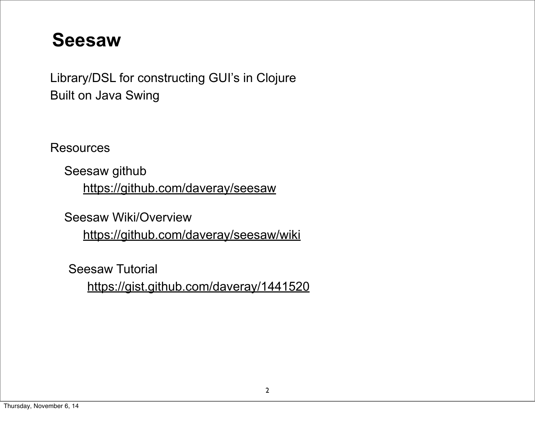#### **Seesaw**

Library/DSL for constructing GUI's in Clojure Built on Java Swing

**Resources** 

Seesaw github <https://github.com/daveray/seesaw>

Seesaw Wiki/Overview <https://github.com/daveray/seesaw/wiki>

Seesaw Tutorial

<https://gist.github.com/daveray/1441520>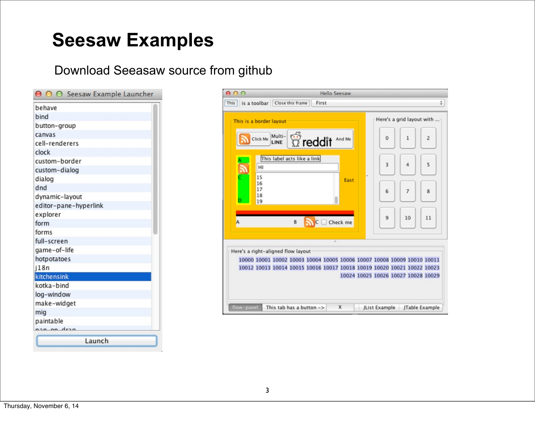#### **Seesaw Examples**

#### Download Seeasaw source from github

| behave                |  |
|-----------------------|--|
| bind                  |  |
| button-group          |  |
| canvas                |  |
| cell-renderers        |  |
| clock                 |  |
| custom-border         |  |
| custom-dialog         |  |
| dialog                |  |
| dnd                   |  |
| dynamic-layout        |  |
| editor-pane-hyperlink |  |
| explorer              |  |
| form                  |  |
| forms                 |  |
| full-screen           |  |
| game-of-life          |  |
| hotpotatoes           |  |
| j18n                  |  |
| kitchensink           |  |
| kotka-bind            |  |
| log-window            |  |
| make-widget           |  |
| mig                   |  |
| paintable             |  |
| n an dran             |  |
|                       |  |

| 000                     |                                                                                                                                                                                          | <b>Hello Seesaw</b>   |          |                                     |                           |                |
|-------------------------|------------------------------------------------------------------------------------------------------------------------------------------------------------------------------------------|-----------------------|----------|-------------------------------------|---------------------------|----------------|
| This                    | is a toolbar   Close this frame                                                                                                                                                          | First                 |          |                                     |                           | ÷              |
| This is a border layout |                                                                                                                                                                                          |                       |          |                                     | Here's a grid layout with |                |
| Click Me                | Multi-<br>LINE                                                                                                                                                                           | <b>Treddit</b> And Me |          | 0                                   | 1                         | $\overline{2}$ |
| HI<br>15                | This label acts like a link                                                                                                                                                              |                       |          | 3                                   | а                         | 5              |
| 16<br>17<br>18<br>19    |                                                                                                                                                                                          |                       | East     | 6                                   | 7                         | 8              |
| A                       | B                                                                                                                                                                                        |                       | Check me | ۹                                   | 10                        | 11             |
|                         |                                                                                                                                                                                          |                       |          |                                     |                           |                |
|                         | Here's a right-aligned flow layout<br>10000 10001 10002 10003 10004 10005 10006 10007 10008 10009 10010 10011<br>10012 10013 10014 10015 10016 10017 10018 10019 10020 10021 10022 10023 |                       |          | 10024 10025 10026 10027 10028 10029 |                           |                |
| flow-panel              | This tab has a button $->$                                                                                                                                                               |                       | x        | JList Example                       |                           | JTable Example |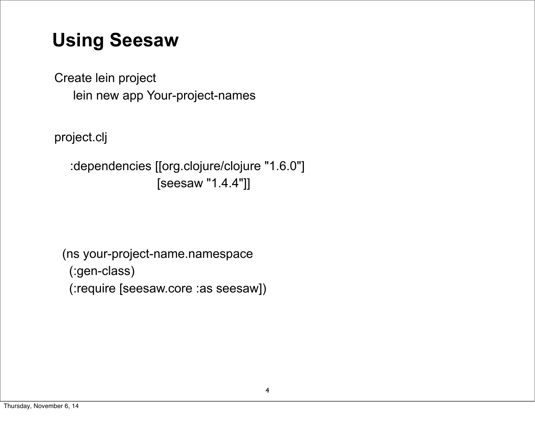## **Using Seesaw**

Create lein project lein new app Your-project-names

project.clj

:dependencies [[org.clojure/clojure "1.6.0"] [seesaw "1.4.4"]]

(ns your-project-name.namespace (:gen-class) (:require [seesaw.core :as seesaw])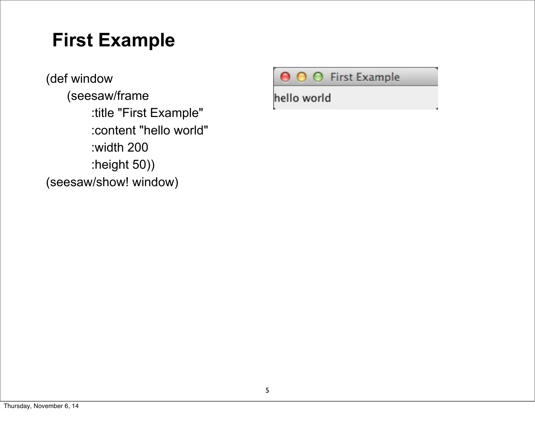## **First Example**

(def window (seesaw/frame :title "First Example" :content "hello world" :width 200 :height 50)) (seesaw/show! window)

O O First Example

hello world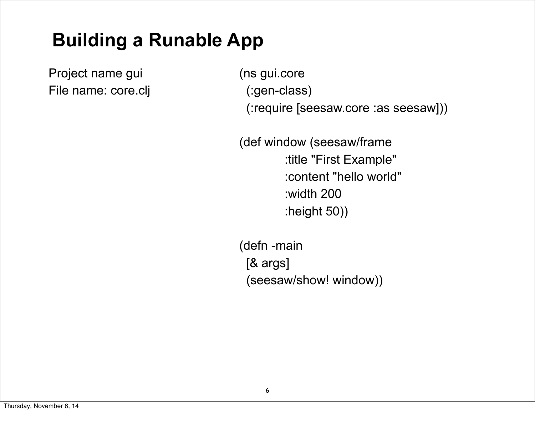# **Building a Runable App**

Project name gui File name: core.clj (ns gui.core (:gen-class) (:require [seesaw.core :as seesaw]))

(def window (seesaw/frame :title "First Example" :content "hello world" :width 200 :height 50))

(defn -main [& args] (seesaw/show! window))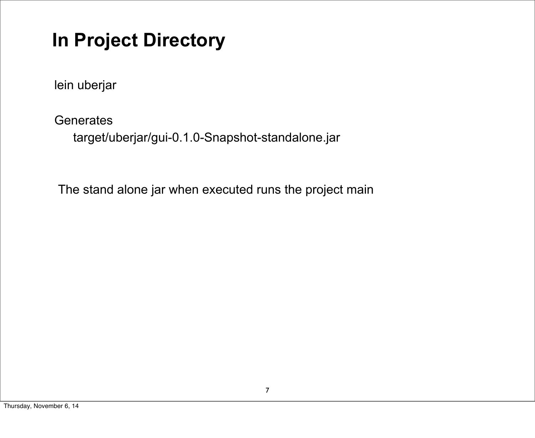# **In Project Directory**

lein uberjar

**Generates** 

target/uberjar/gui-0.1.0-Snapshot-standalone.jar

The stand alone jar when executed runs the project main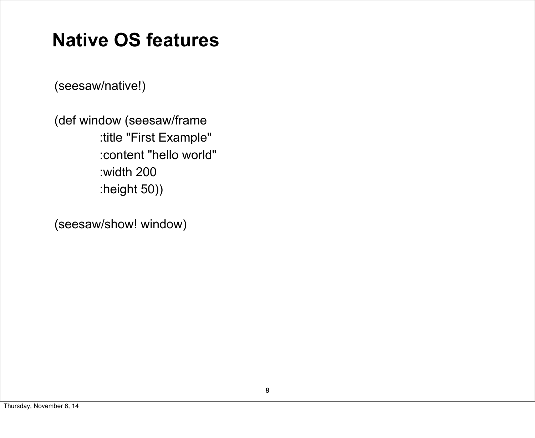## **Native OS features**

(seesaw/native!)

(def window (seesaw/frame :title "First Example" :content "hello world" :width 200 :height 50))

(seesaw/show! window)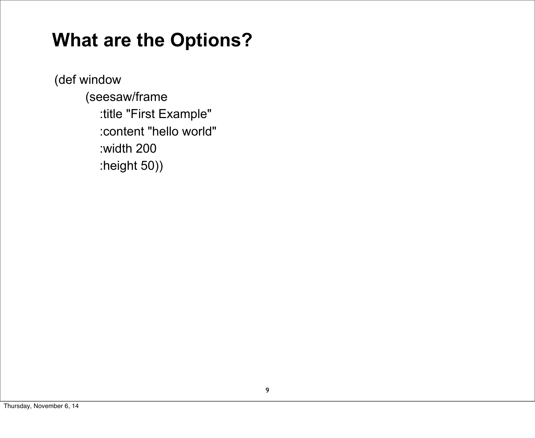#### **What are the Options?**

(def window (seesaw/frame :title "First Example" :content "hello world" :width 200 :height 50))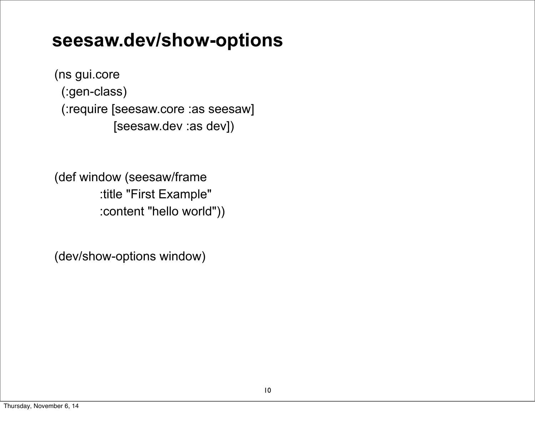#### **seesaw.dev/show-options**

(ns gui.core (:gen-class) (:require [seesaw.core :as seesaw] [seesaw.dev :as dev])

(def window (seesaw/frame :title "First Example" :content "hello world"))

(dev/show-options window)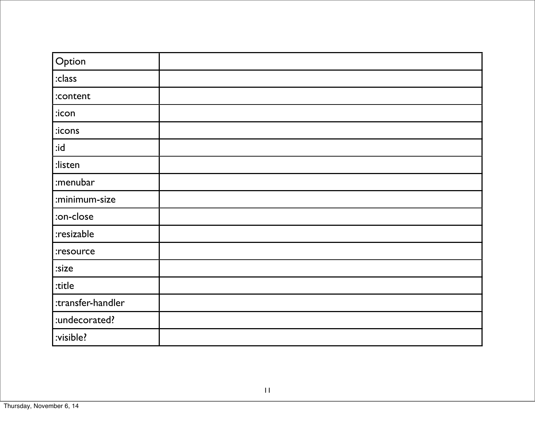| Option            |  |
|-------------------|--|
| $ :$ class        |  |
| :content          |  |
| $ :$ icon         |  |
| icons:            |  |
| $b$ i:            |  |
| listen:           |  |
| :menubar          |  |
| :minimum-size     |  |
| :on-close         |  |
| :resizable        |  |
| :resource         |  |
| :size             |  |
| :title            |  |
| :transfer-handler |  |
| :undecorated?     |  |
| :visible?         |  |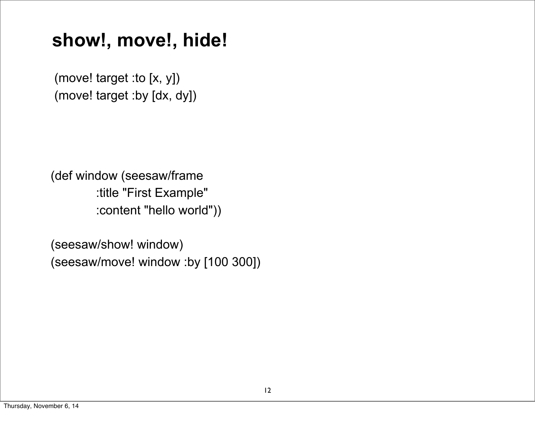#### **show!, move!, hide!**

(move! target :to [x, y]) (move! target :by [dx, dy])

(def window (seesaw/frame :title "First Example" :content "hello world"))

(seesaw/show! window) (seesaw/move! window :by [100 300])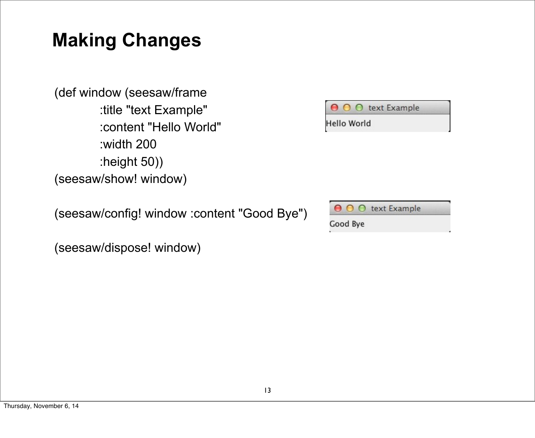## **Making Changes**

(def window (seesaw/frame :title "text Example" :content "Hello World" :width 200 :height 50)) (seesaw/show! window)

(seesaw/config! window :content "Good Bye")

(seesaw/dispose! window)

|             |  | <b>O</b> O text Example |  |
|-------------|--|-------------------------|--|
| Hello World |  |                         |  |

|          |  | text Example |  |
|----------|--|--------------|--|
| Good Bye |  |              |  |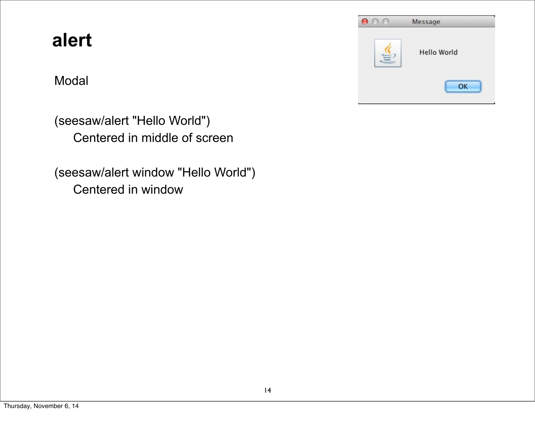#### **alert**

#### Modal



(seesaw/alert "Hello World") Centered in middle of screen

(seesaw/alert window "Hello World") Centered in window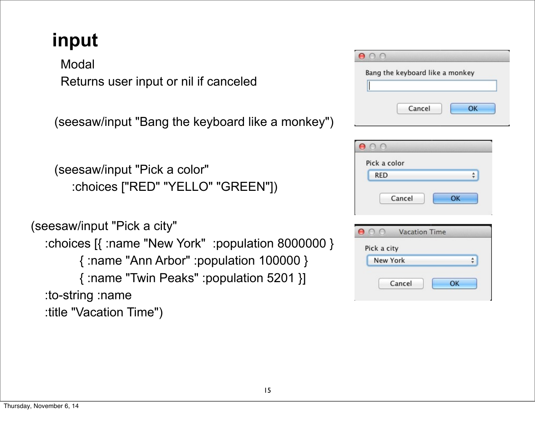# **input**

**Modal** Returns user input or nil if canceled

(seesaw/input "Bang the keyboard like a monkey")

```
(seesaw/input "Pick a color" 
   :choices ["RED" "YELLO" "GREEN"])
```

```
(seesaw/input "Pick a city"
   :choices [{ :name "New York" :population 8000000 }
         { :name "Ann Arbor" :population 100000 }
         { :name "Twin Peaks" :population 5201 }]
   :to-string :name
   :title "Vacation Time")
```

| Bang the keyboard like a monkey |  |    |  |
|---------------------------------|--|----|--|
|                                 |  |    |  |
|                                 |  |    |  |
|                                 |  |    |  |
|                                 |  |    |  |
| Cancel                          |  | OK |  |

| $\circ$ $\circ$ |    |
|-----------------|----|
| Pick a color    |    |
| <b>RED</b>      |    |
| Cancel          | ок |

| Pick a city |    |
|-------------|----|
| New York    |    |
| Cancel      | ОК |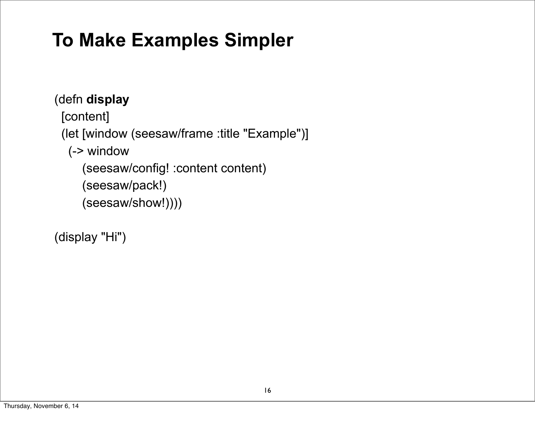# **To Make Examples Simpler**

(defn **display** [content] (let [window (seesaw/frame :title "Example")] (-> window (seesaw/config! :content content) (seesaw/pack!) (seesaw/show!))))

(display "Hi")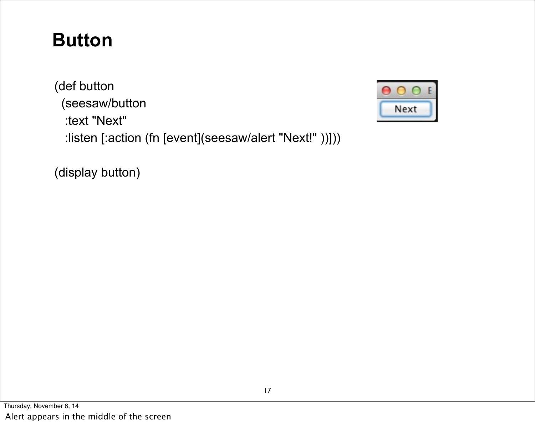## **Button**

(def button (seesaw/button :text "Next" :listen [:action (fn [event](seesaw/alert "Next!" ))]))



(display button)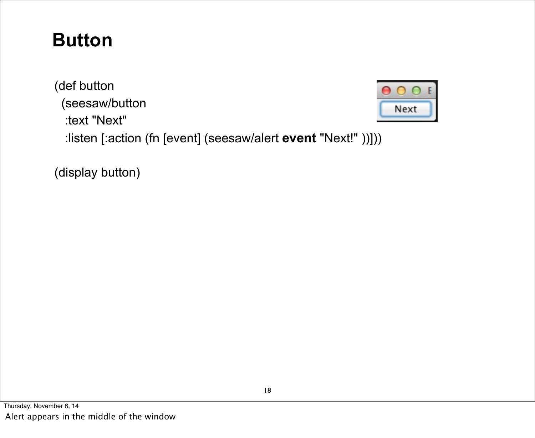## **Button**

(def button (seesaw/button :text "Next" :listen [:action (fn [event] (seesaw/alert **event** "Next!" ))]))

(display button)

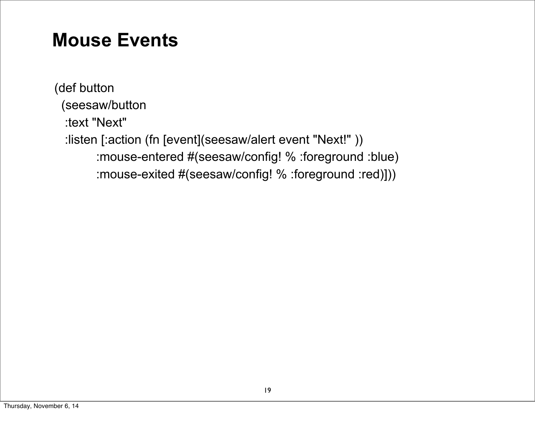#### **Mouse Events**

(def button (seesaw/button :text "Next" :listen [:action (fn [event](seesaw/alert event "Next!" )) :mouse-entered #(seesaw/config! % :foreground :blue) :mouse-exited #(seesaw/config! % :foreground :red)]))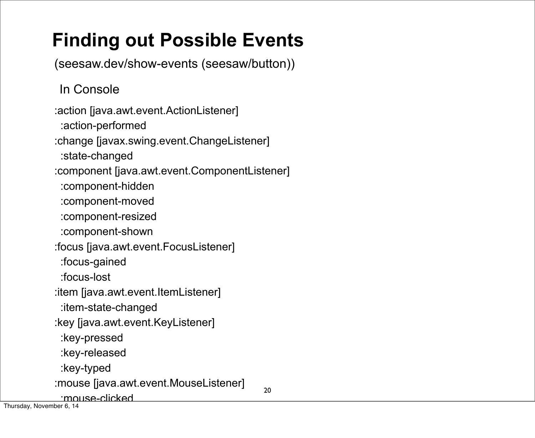# **Finding out Possible Events**

(seesaw.dev/show-events (seesaw/button))

In Console

20 :action [java.awt.event.ActionListener] :action-performed :change [javax.swing.event.ChangeListener] :state-changed :component [java.awt.event.ComponentListener] :component-hidden :component-moved :component-resized :component-shown :focus [java.awt.event.FocusListener] :focus-gained :focus-lost :item [java.awt.event.ItemListener] :item-state-changed :key [java.awt.event.KeyListener] :key-pressed :key-released :key-typed :mouse [java.awt.event.MouseListener] :mouse-clicked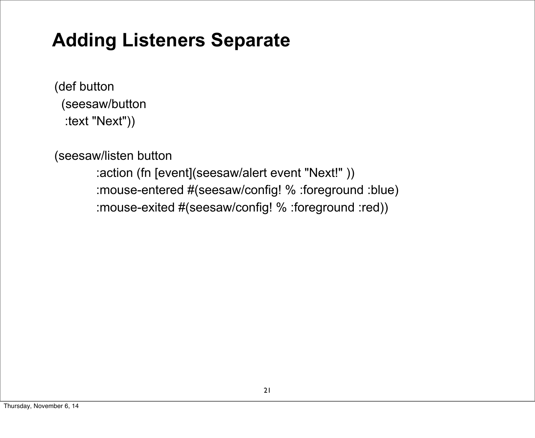## **Adding Listeners Separate**

(def button (seesaw/button :text "Next"))

(seesaw/listen button

 :action (fn [event](seesaw/alert event "Next!" )) :mouse-entered #(seesaw/config! % :foreground :blue) :mouse-exited #(seesaw/config! % :foreground :red))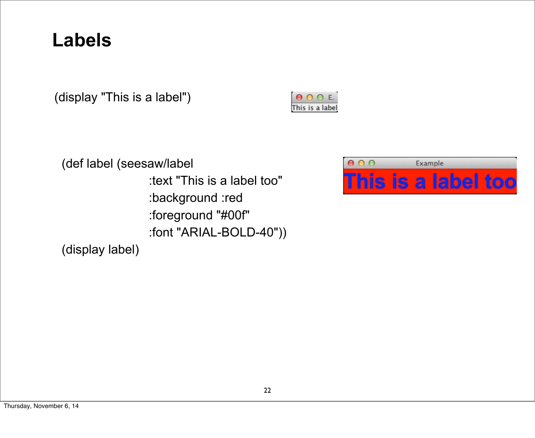#### **Labels**

(display "This is a label")

 $000E$ This is a label

(def label (seesaw/label :text "This is a label too" :background :red :foreground "#00f" :font "ARIAL-BOLD-40")) (display label)

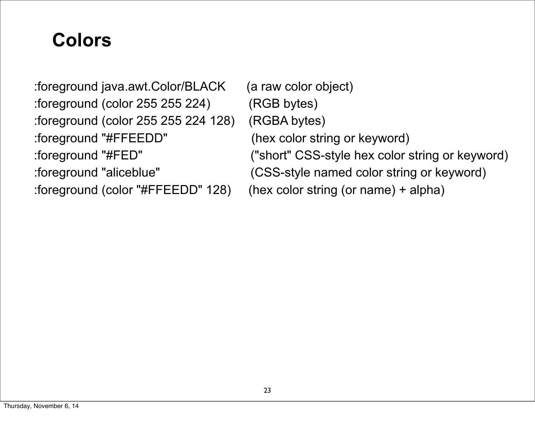## **Colors**

:foreground java.awt.Color/BLACK (a raw color object) :foreground (color 255 255 224) (RGB bytes) :foreground (color 255 255 224 128) (RGBA bytes) :foreground "#FFEEDD" (hex color string or keyword) :foreground "#FED" ("short" CSS-style hex color string or keyword) :foreground "aliceblue" (CSS-style named color string or keyword) :foreground (color "#FFEEDD" 128) (hex color string (or name) + alpha)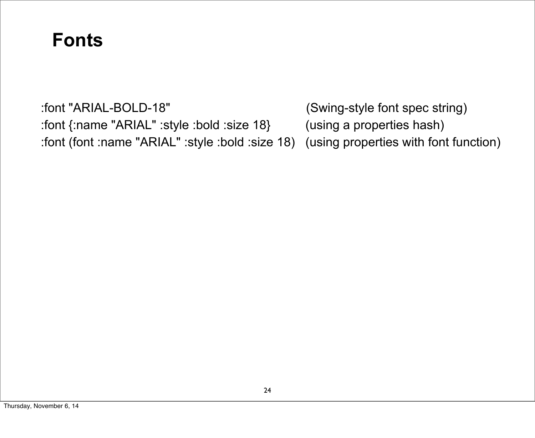#### **Fonts**

:font "ARIAL-BOLD-18" (Swing-style font spec string) :font {:name "ARIAL" :style :bold :size 18} (using a properties hash) :font (font :name "ARIAL" :style :bold :size 18) (using properties with font function)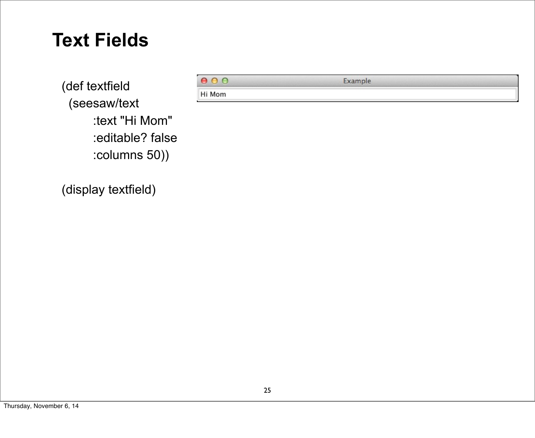#### **Text Fields**

(def textfield (seesaw/text :text "Hi Mom" :editable? false :columns 50))

(display textfield)

 $000$ Example

Hi Mom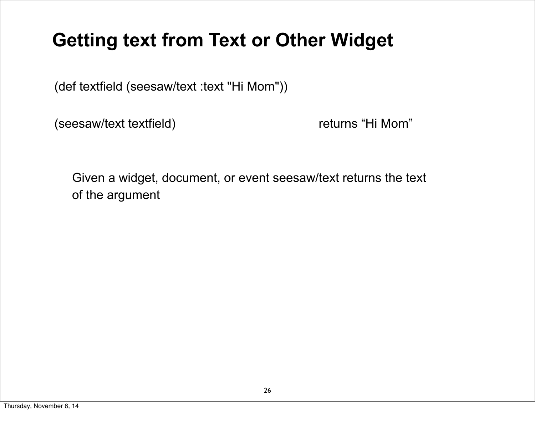## **Getting text from Text or Other Widget**

(def textfield (seesaw/text :text "Hi Mom"))

(seesaw/text textfield) returns "Hi Mom"

Given a widget, document, or event seesaw/text returns the text of the argument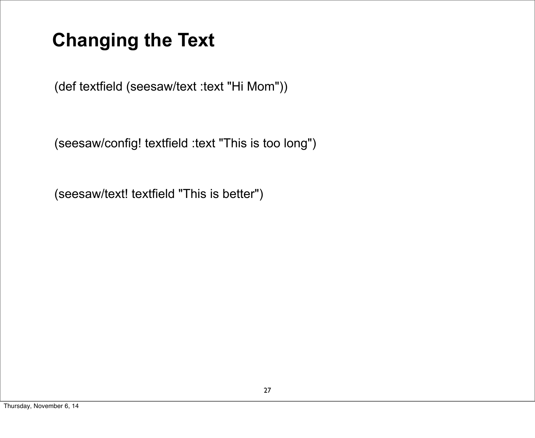# **Changing the Text**

(def textfield (seesaw/text :text "Hi Mom"))

(seesaw/config! textfield :text "This is too long")

(seesaw/text! textfield "This is better")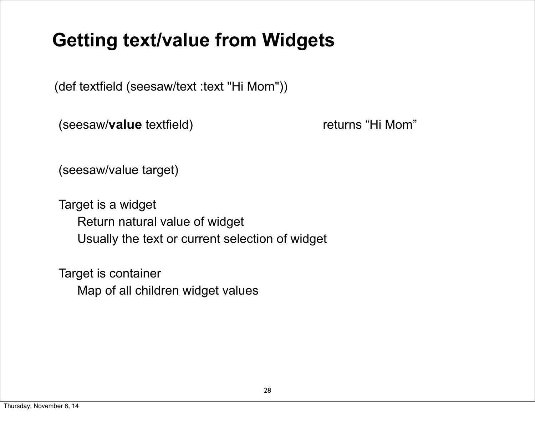## **Getting text/value from Widgets**

(def textfield (seesaw/text :text "Hi Mom"))

(seesaw/value textfield) returns "Hi Mom"

(seesaw/value target)

Target is a widget Return natural value of widget Usually the text or current selection of widget

Target is container Map of all children widget values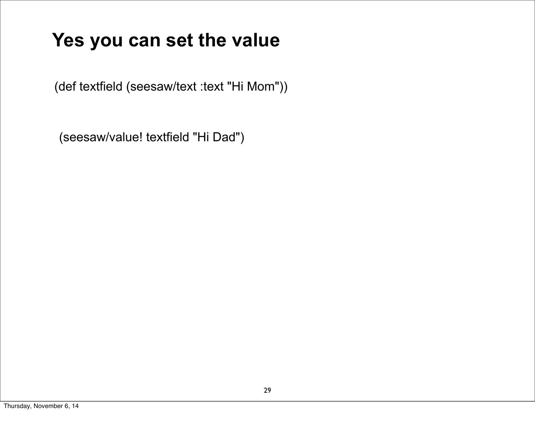## **Yes you can set the value**

(def textfield (seesaw/text :text "Hi Mom"))

(seesaw/value! textfield "Hi Dad")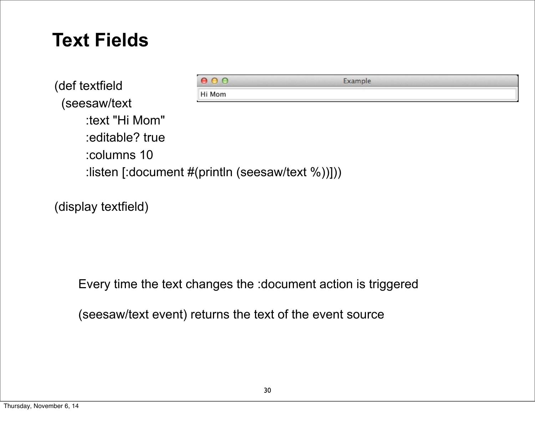#### **Text Fields**

| (def textfield                                                     | 000    | Example |  |
|--------------------------------------------------------------------|--------|---------|--|
|                                                                    | Hi Mom |         |  |
| (seesaw/text                                                       |        |         |  |
| :text "Hi Mom"                                                     |        |         |  |
| :editable? true                                                    |        |         |  |
| :columns 10                                                        |        |         |  |
| :listen [:document $\#(\text{println} \text{ (seesaw/text } %))])$ |        |         |  |

(display textfield)

Every time the text changes the :document action is triggered

(seesaw/text event) returns the text of the event source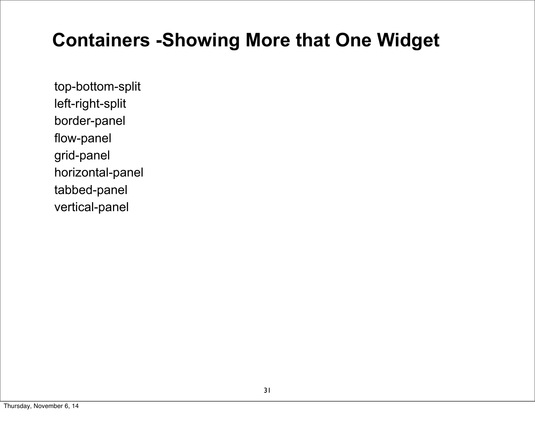## **Containers -Showing More that One Widget**

top-bottom-split left-right-split border-panel flow-panel grid-panel horizontal-panel tabbed-panel vertical-panel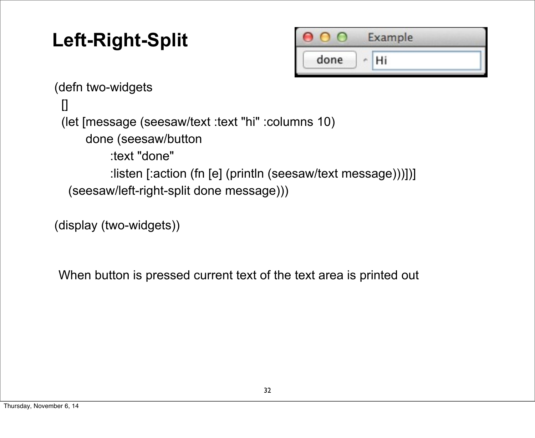# **Left-Right-Split**



(defn two-widgets [] (let [message (seesaw/text :text "hi" :columns 10) done (seesaw/button :text "done" :listen [:action (fn [e] (println (seesaw/text message)))])] (seesaw/left-right-split done message)))

(display (two-widgets))

When button is pressed current text of the text area is printed out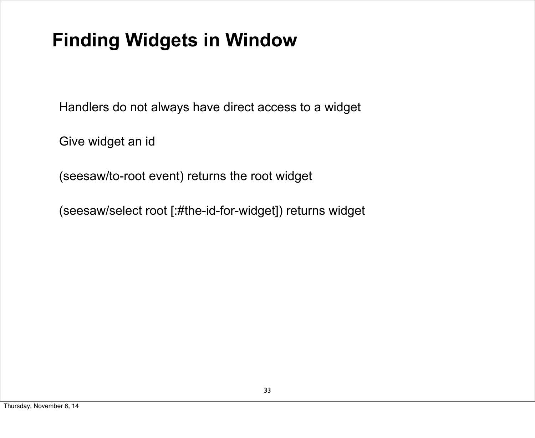# **Finding Widgets in Window**

Handlers do not always have direct access to a widget

Give widget an id

(seesaw/to-root event) returns the root widget

(seesaw/select root [:#the-id-for-widget]) returns widget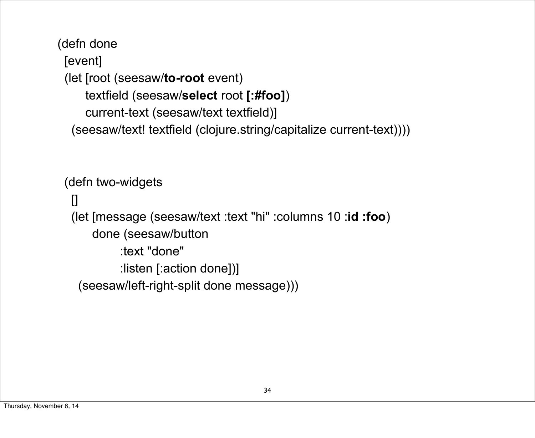(defn done [event] (let [root (seesaw/**to-root** event) textfield (seesaw/**select** root **[:#foo]**) current-text (seesaw/text textfield)] (seesaw/text! textfield (clojure.string/capitalize current-text))))

(defn two-widgets  $\prod$  (let [message (seesaw/text :text "hi" :columns 10 :**id :foo**) done (seesaw/button :text "done" :listen [:action done])] (seesaw/left-right-split done message)))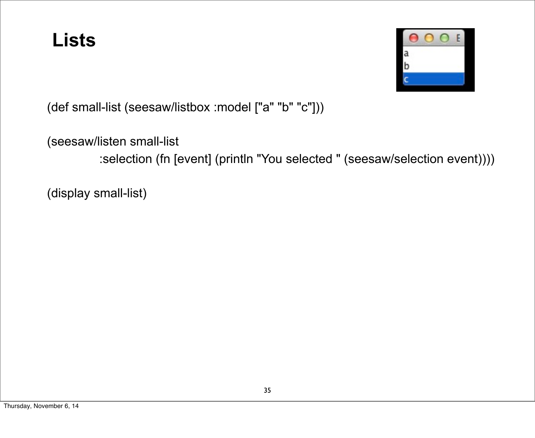#### **Lists**



(def small-list (seesaw/listbox :model ["a" "b" "c"]))

(seesaw/listen small-list

:selection (fn [event] (println "You selected " (seesaw/selection event))))

(display small-list)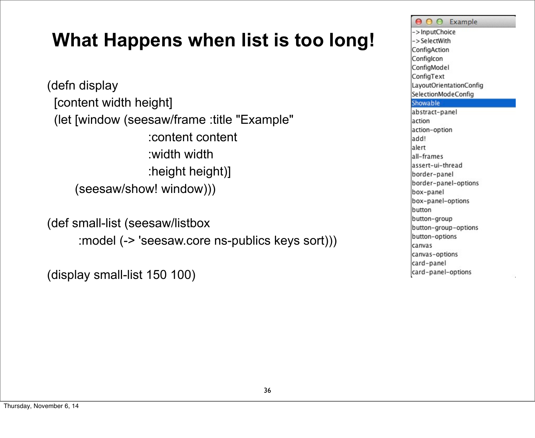## **What Happens when list is too long!**

(defn display [content width height] (let [window (seesaw/frame :title "Example" :content content :width width :height height)] (seesaw/show! window)))

(def small-list (seesaw/listbox :model (-> 'seesaw.core ns-publics keys sort)))

(display small-list 150 100)

O O Example ->InputChoice ->SelectWith ConfigAction Configlcon ConfigModel ConfigText LayoutOrientationConfig SelectionModeConfig Showable abstract-panel action action-option add! alert all-frames assert-ui-thread border-panel border-panel-options box-panel box-panel-options button button-group button-group-options button-options canvas canvas-options card-panel card-panel-options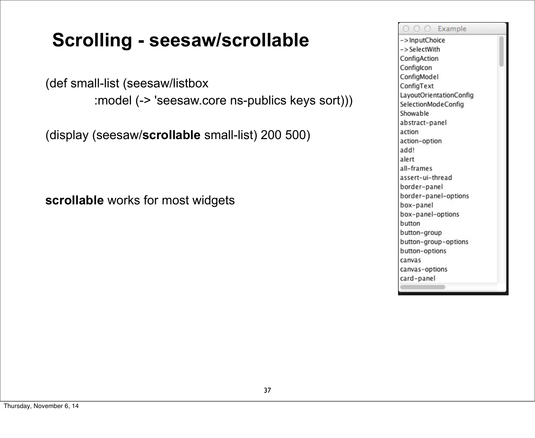## **Scrolling - seesaw/scrollable**

(def small-list (seesaw/listbox

:model (-> 'seesaw.core ns-publics keys sort)))

(display (seesaw/**scrollable** small-list) 200 500)

**scrollable** works for most widgets

O O O Example ->InputChoice ->SelectWith ConfigAction Configlcon ConfigModel ConfigText LayoutOrientationConfig SelectionModeConfig Showable abstract-panel action action-option add! alert all-frames assert-ui-thread border-panel border-panel-options box-panel box-panel-options button button-group button-group-options button-options canvas canvas-options card-panel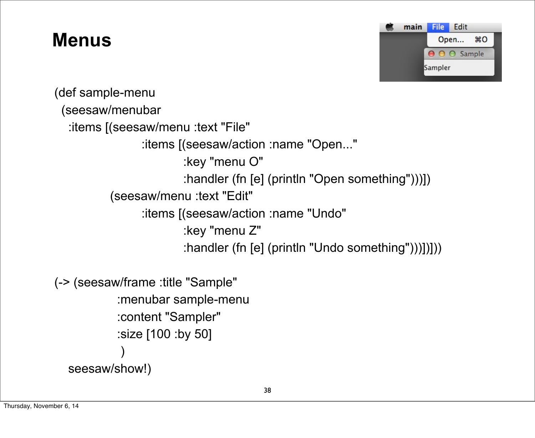#### **Menus**



(def sample-menu (seesaw/menubar :items [(seesaw/menu :text "File" :items [(seesaw/action :name "Open..." :key "menu O" :handler (fn [e] (println "Open something")))]) (seesaw/menu :text "Edit" :items [(seesaw/action :name "Undo" :key "menu Z" :handler (fn [e] (println "Undo something")))])])) (-> (seesaw/frame :title "Sample"

```
 :menubar sample-menu
             :content "Sampler"
             :size [100 :by 50]
\overline{\phantom{a}} seesaw/show!)
```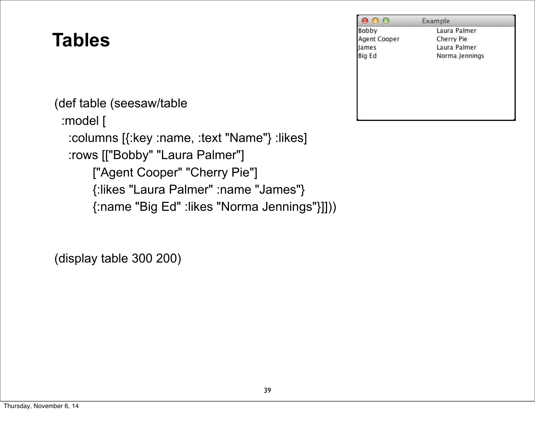## **Tables**

(def table (seesaw/table :model [ :columns [{:key :name, :text "Name"} :likes] :rows [["Bobby" "Laura Palmer"] ["Agent Cooper" "Cherry Pie"] {:likes "Laura Palmer" :name "James"} {:name "Big Ed" :likes "Norma Jennings"}]]))

(display table 300 200)

| 000          | Example        |
|--------------|----------------|
| Bobby        | Laura Palmer   |
| Agent Cooper | Cherry Pie     |
| James        | Laura Palmer   |
| Big Ed       | Norma Jennings |
|              |                |
|              |                |
|              |                |
|              |                |
|              |                |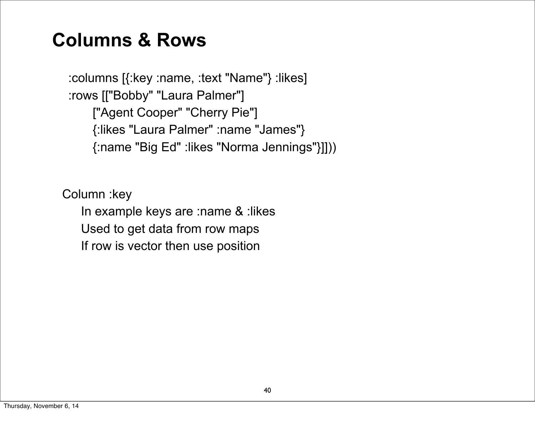#### **Columns & Rows**

 :columns [{:key :name, :text "Name"} :likes] :rows [["Bobby" "Laura Palmer"] ["Agent Cooper" "Cherry Pie"] {:likes "Laura Palmer" :name "James"} {:name "Big Ed" :likes "Norma Jennings"}]]))

Column :key

In example keys are :name & :likes

Used to get data from row maps

If row is vector then use position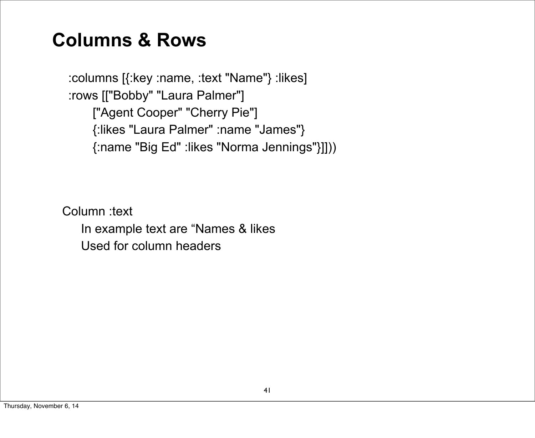#### **Columns & Rows**

 :columns [{:key :name, :text "Name"} :likes] :rows [["Bobby" "Laura Palmer"] ["Agent Cooper" "Cherry Pie"] {:likes "Laura Palmer" :name "James"} {:name "Big Ed" :likes "Norma Jennings"}]]))

Column :text In example text are "Names & likes Used for column headers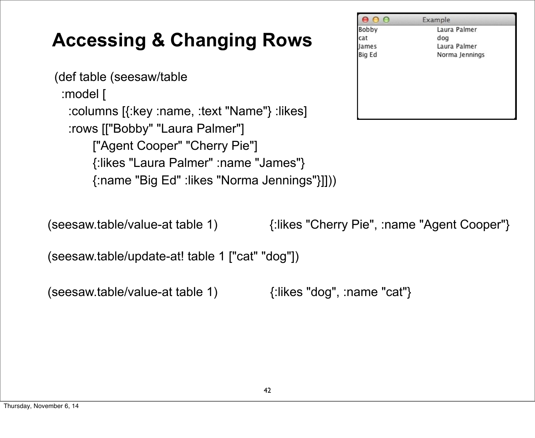# **Accessing & Changing Rows**

```
(def table (seesaw/table 
  :model [
   :columns [{:key :name, :text "Name"} :likes] 
   :rows [["Bobby" "Laura Palmer"]
        ["Agent Cooper" "Cherry Pie"]
        {:likes "Laura Palmer" :name "James"}
        {:name "Big Ed" :likes "Norma Jennings"}]]))
```

|        | Example        |
|--------|----------------|
| Bobby  | Laura Palmer   |
| cat    | dog            |
| James  | Laura Palmer   |
| Big Ed | Norma Jennings |
|        |                |
|        |                |
|        |                |
|        |                |

(seesaw.table/value-at table 1) {:likes "Cherry Pie", :name "Agent Cooper"}

(seesaw.table/update-at! table 1 ["cat" "dog"])

(seesaw.table/value-at table 1) {:likes "dog", :name "cat"}